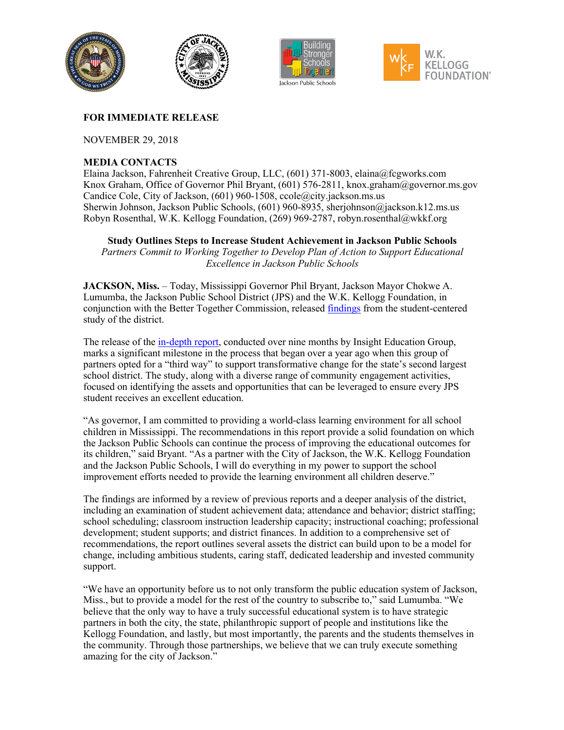

## **FOR IMMEDIATE RELEASE**

NOVEMBER 29, 2018

## **MEDIA CONTACTS**

Elaina Jackson, Fahrenheit Creative Group, LLC, (601) 371-8003, elaina@fcgworks.com Knox Graham, Office of Governor Phil Bryant, (601) 576-2811, knox.graham@governor.ms.gov Candice Cole, City of Jackson, (601) 960-1508, ccole@city.jackson.ms.us Sherwin Johnson, Jackson Public Schools, (601) 960-8935, sherjohnson@jackson.k12.ms.us Robyn Rosenthal, W.K. Kellogg Foundation, (269) 969-2787, robyn.rosenthal@wkkf.org

**Study Outlines Steps to Increase Student Achievement in Jackson Public Schools**

Partners Commit to Working Together to Develop Plan of Action to Support Educational *Excellence in Jackson Public Schools*

**JACKSON, Miss.** – Today, Mississippi Governor Phil Bryant, Jackson Mayor Chokwe A. Lumumba, the Jackson Public School District (JPS) and the W.K. Kellogg Foundation, in conjunction with the Better Together Commission, released [findings](https://www.jackson.k12.ms.us/cms/lib/MS01910533/Centricity/Domain/1251/Jackson_Public_Schools_Executive_Report.pdf) from the student-centered study of the district.

The release of the [in-depth report,](https://www.jackson.k12.ms.us/cms/lib/MS01910533/Centricity/Domain/1251/Jackson_Public_Schools_Executive_Report.pdf) conducted over nine months by Insight Education Group, marks a significant milestone in the process that began over a year ago when this group of partners opted for a "third way" to support transformative change for the state's second largest school district. The study, along with a diverse range of community engagement activities, focused on identifying the assets and opportunities that can be leveraged to ensure every JPS student receives an excellent education.

"As governor, I am committed to providing a world-class learning environment for all school children in Mississippi. The recommendations in this report provide a solid foundation on which the Jackson Public Schools can continue the process of improving the educational outcomes for its children," said Bryant. "As a partner with the City of Jackson, the W.K. Kellogg Foundation and the Jackson Public Schools, I will do everything in my power to support the school improvement efforts needed to provide the learning environment all children deserve."

The findings are informed by a review of previous reports and a deeper analysis of the district, including an examination of student achievement data; attendance and behavior; district staffing; school scheduling; classroom instruction leadership capacity; instructional coaching; professional development; student supports; and district finances. In addition to a comprehensive set of recommendations, the report outlines several assets the district can build upon to be a model for change, including ambitious students, caring staff, dedicated leadership and invested community support.

"We have an opportunity before us to not only transform the public education system of Jackson, Miss., but to provide a model for the rest of the country to subscribe to," said Lumumba. "We believe that the only way to have a truly successful educational system is to have strategic partners in both the city, the state, philanthropic support of people and institutions like the Kellogg Foundation, and lastly, but most importantly, the parents and the students themselves in the community. Through those partnerships, we believe that we can truly execute something amazing for the city of Jackson."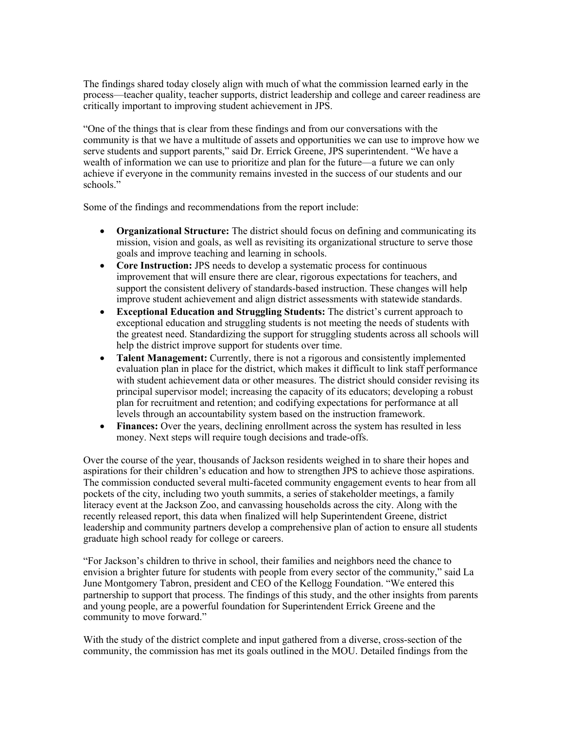The findings shared today closely align with much of what the commission learned early in the process—teacher quality, teacher supports, district leadership and college and career readiness are critically important to improving student achievement in JPS.

"One of the things that is clear from these findings and from our conversations with the community is that we have a multitude of assets and opportunities we can use to improve how we serve students and support parents," said Dr. Errick Greene, JPS superintendent. "We have a wealth of information we can use to prioritize and plan for the future—a future we can only achieve if everyone in the community remains invested in the success of our students and our schools."

Some of the findings and recommendations from the report include:

- **Organizational Structure:** The district should focus on defining and communicating its mission, vision and goals, as well as revisiting its organizational structure to serve those goals and improve teaching and learning in schools.
- **Core Instruction:** JPS needs to develop a systematic process for continuous improvement that will ensure there are clear, rigorous expectations for teachers, and support the consistent delivery of standards-based instruction. These changes will help improve student achievement and align district assessments with statewide standards.
- **Exceptional Education and Struggling Students:** The district's current approach to exceptional education and struggling students is not meeting the needs of students with the greatest need. Standardizing the support for struggling students across all schools will help the district improve support for students over time.
- **Talent Management:** Currently, there is not a rigorous and consistently implemented evaluation plan in place for the district, which makes it difficult to link staff performance with student achievement data or other measures. The district should consider revising its principal supervisor model; increasing the capacity of its educators; developing a robust plan for recruitment and retention; and codifying expectations for performance at all levels through an accountability system based on the instruction framework.
- **Finances:** Over the years, declining enrollment across the system has resulted in less money. Next steps will require tough decisions and trade-offs.

Over the course of the year, thousands of Jackson residents weighed in to share their hopes and aspirations for their children's education and how to strengthen JPS to achieve those aspirations. The commission conducted several multi-faceted community engagement events to hear from all pockets of the city, including two youth summits, a series of stakeholder meetings, a family literacy event at the Jackson Zoo, and canvassing households across the city. Along with the recently released report, this data when finalized will help Superintendent Greene, district leadership and community partners develop a comprehensive plan of action to ensure all students graduate high school ready for college or careers.

"For Jackson's children to thrive in school, their families and neighbors need the chance to envision a brighter future for students with people from every sector of the community," said La June Montgomery Tabron, president and CEO of the Kellogg Foundation. "We entered this partnership to support that process. The findings of this study, and the other insights from parents and young people, are a powerful foundation for Superintendent Errick Greene and the community to move forward."

With the study of the district complete and input gathered from a diverse, cross-section of the community, the commission has met its goals outlined in the MOU. Detailed findings from the